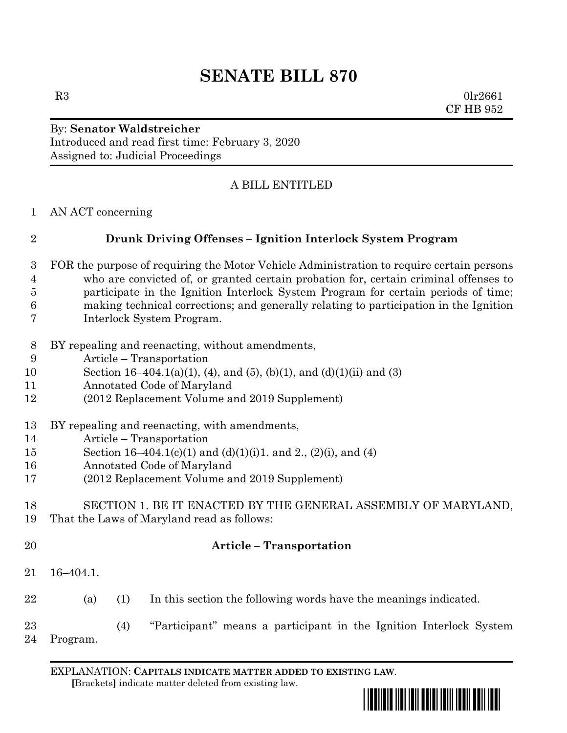# **SENATE BILL 870**

 $R3$  0lr2661 CF HB 952

### By: **Senator Waldstreicher** Introduced and read first time: February 3, 2020 Assigned to: Judicial Proceedings

## A BILL ENTITLED

AN ACT concerning

## **Drunk Driving Offenses – Ignition Interlock System Program**

- FOR the purpose of requiring the Motor Vehicle Administration to require certain persons who are convicted of, or granted certain probation for, certain criminal offenses to participate in the Ignition Interlock System Program for certain periods of time; making technical corrections; and generally relating to participation in the Ignition Interlock System Program.
- BY repealing and reenacting, without amendments,
- Article Transportation
- 10 Section 16–404.1(a)(1), (4), and (5), (b)(1), and (d)(1)(ii) and (3)
- Annotated Code of Maryland
- (2012 Replacement Volume and 2019 Supplement)
- BY repealing and reenacting, with amendments,
- Article Transportation
- Section 16–404.1(c)(1) and (d)(1)(i)1. and 2., (2)(i), and (4)
- Annotated Code of Maryland
- (2012 Replacement Volume and 2019 Supplement)

#### SECTION 1. BE IT ENACTED BY THE GENERAL ASSEMBLY OF MARYLAND, That the Laws of Maryland read as follows:

- 
- 

## **Article – Transportation**

- 16–404.1.
- (a) (1) In this section the following words have the meanings indicated.
- (4) "Participant" means a participant in the Ignition Interlock System Program.

EXPLANATION: **CAPITALS INDICATE MATTER ADDED TO EXISTING LAW**.  **[**Brackets**]** indicate matter deleted from existing law.

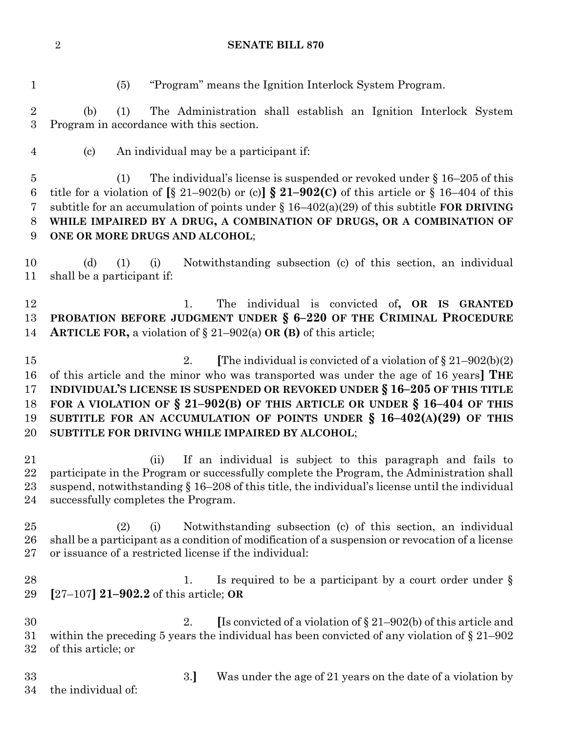#### **SENATE BILL 870**

(5) "Program" means the Ignition Interlock System Program.

 (b) (1) The Administration shall establish an Ignition Interlock System Program in accordance with this section.

(c) An individual may be a participant if:

 (1) The individual's license is suspended or revoked under § 16–205 of this title for a violation of **[**§ 21–902(b) or (c)**] § 21–902(C)** of this article or § 16–404 of this subtitle for an accumulation of points under § 16–402(a)(29) of this subtitle **FOR DRIVING WHILE IMPAIRED BY A DRUG, A COMBINATION OF DRUGS, OR A COMBINATION OF ONE OR MORE DRUGS AND ALCOHOL**;

 (d) (1) (i) Notwithstanding subsection (c) of this section, an individual shall be a participant if:

 1. The individual is convicted of**, OR IS GRANTED PROBATION BEFORE JUDGMENT UNDER § 6–220 OF THE CRIMINAL PROCEDURE ARTICLE FOR,** a violation of § 21–902(a) **OR (B)** of this article;

**2. I**The individual is convicted of a violation of  $\S 21-902(b)(2)$  of this article and the minor who was transported was under the age of 16 years**] THE INDIVIDUAL'S LICENSE IS SUSPENDED OR REVOKED UNDER § 16–205 OF THIS TITLE FOR A VIOLATION OF § 21–902(B) OF THIS ARTICLE OR UNDER § 16–404 OF THIS SUBTITLE FOR AN ACCUMULATION OF POINTS UNDER § 16–402(A)(29) OF THIS SUBTITLE FOR DRIVING WHILE IMPAIRED BY ALCOHOL**;

 (ii) If an individual is subject to this paragraph and fails to participate in the Program or successfully complete the Program, the Administration shall suspend, notwithstanding § 16–208 of this title, the individual's license until the individual successfully completes the Program.

 (2) (i) Notwithstanding subsection (c) of this section, an individual shall be a participant as a condition of modification of a suspension or revocation of a license or issuance of a restricted license if the individual:

28 1. Is required to be a participant by a court order under § **[**27–107**] 21–902.2** of this article; **OR**

 2. **[**Is convicted of a violation of § 21–902(b) of this article and within the preceding 5 years the individual has been convicted of any violation of § 21–902 of this article; or

3.**]** Was under the age of 21 years on the date of a violation by

the individual of: